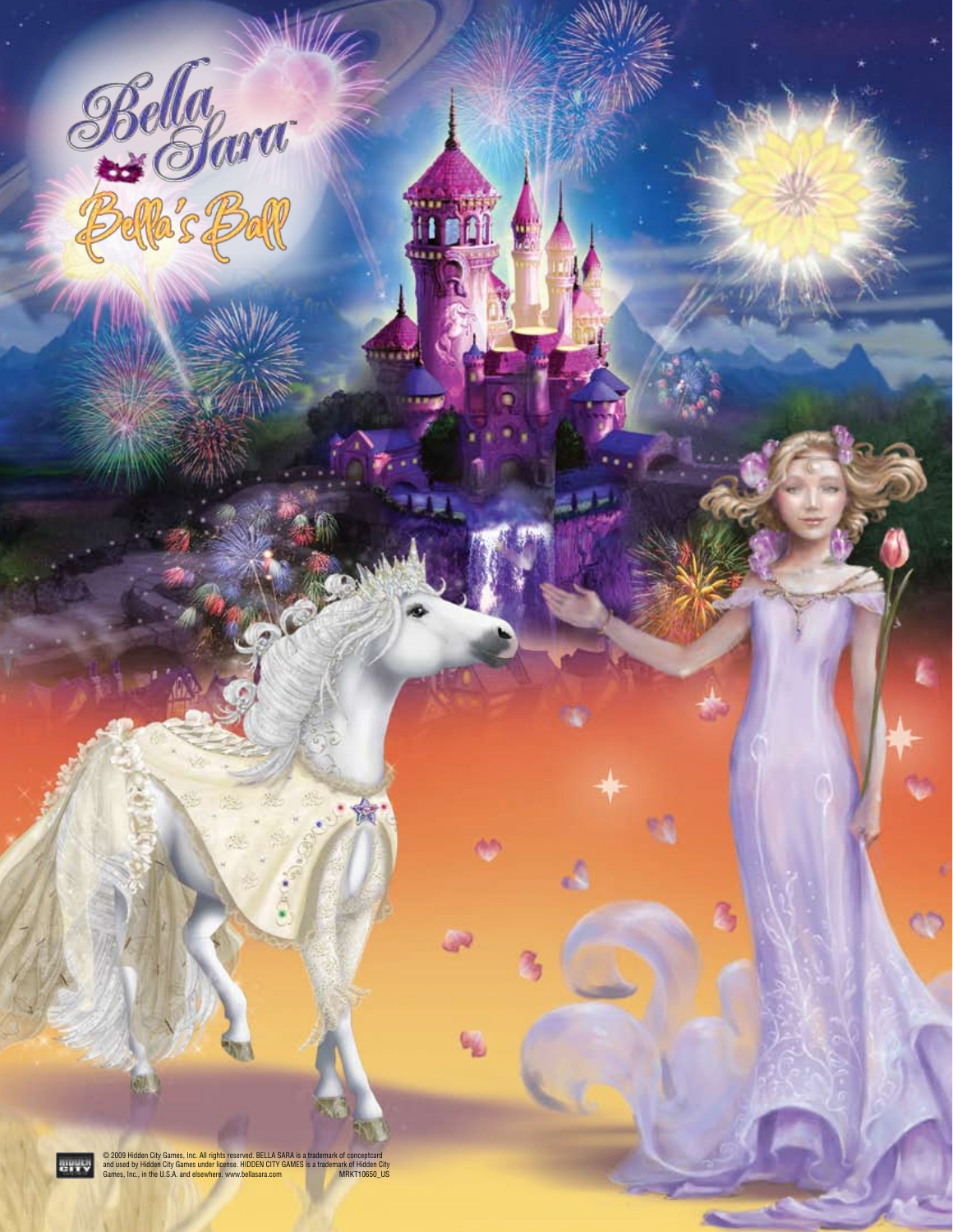